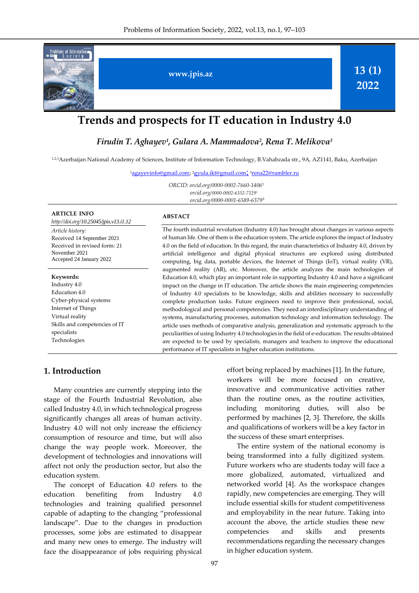

# **Trends and prospects for IT education in Industry 4.0**

### *Firudin T. Aghayev<sup>1</sup> , Gulara A. Mammadova<sup>2</sup> , Rena T. Melikova<sup>3</sup>*

1,2,3Azerbaijan National Academy of Sciences, Institute of Information Technology, B.Vahabzada str., 9A, AZ1141, Baku, Azerbaijan

<sup>1</sup>[agayevinfo@gmail.com;](mailto:agayevinfo@gmail.com) <sup>2</sup>[gyula.ikt@gmail.com](mailto:gyula.ikt@gmail.com); <sup>3</sup>[rena22@rambler.ru](mailto:rena22@rambler.ru)

*ORCID: orcid.org*/*0000-0002-7660-1406<sup>1</sup> orcid.org*/*0000-0002-6332-7129<sup>2</sup> orcid.org/0000-0001-6589-6379*<sup>3</sup>

#### **ARTICLE INFO**

*http://doi.org/10.25045/jpis.v13.i1.12 Article history:* Received 14 September 2021

Received in revised form: 21 November 2021 Accepted 24 January 2022

#### **Keywords:**

Industry 4.0 Education 4.0 Cyber-physical systems Internet of Things Virtual reality Skills and competencies of IT specialists Technologies

#### **ABSTACT**

The fourth industrial revolution (Industry 4.0) has brought about changes in various aspects of human life. One of them is the education system. The article explores the impact of Industry 4.0 on the field of education. In this regard, the main characteristics of Industry 4.0, driven by artificial intelligence and digital physical structures are explored using distributed computing, big data, portable devices, the Internet of Things (IoT), virtual reality (VR), augmented reality (AR), etc. Moreover, the article analyzes the main technologies of Education 4.0, which play an important role in supporting Industry 4.0 and have a significant impact on the change in IT education. The article shows the main engineering competencies of Industry 4.0 specialists to be knowledge, skills and abilities necessary to successfully complete production tasks. Future engineers need to improve their professional, social, methodological and personal competencies. They need an interdisciplinary understanding of systems, manufacturing processes, automation technology and information technology. The article uses methods of comparative analysis, generalization and systematic approach to the peculiarities of using Industry 4.0 technologies in the field of e-education. The results obtained are expected to be used by specialists, managers and teachers to improve the educational performance of IT specialists in higher education institutions.

### **1. Introduction**

Many countries are currently stepping into the stage of the Fourth Industrial Revolution, also called Industry 4.0, in which technological progress significantly changes all areas of human activity. Industry 4.0 will not only increase the efficiency consumption of resource and time, but will also change the way people work. Moreover, the development of technologies and innovations will affect not only the production sector, but also the education system.

The concept of Education 4.0 refers to the education benefiting from Industry 4.0 technologies and training qualified personnel capable of adapting to the changing "professional landscape". Due to the changes in production processes, some jobs are estimated to disappear and many new ones to emerge. The industry will face the disappearance of jobs requiring physical effort being replaced by machines [1]. In the future, workers will be more focused on creative, innovative and communicative activities rather than the routine ones, as the routine activities, including monitoring duties, will also be performed by machines [2, 3]. Therefore, the skills and qualifications of workers will be a key factor in the success of these smart enterprises.

The entire system of the national economy is being transformed into a fully digitized system. Future workers who are students today will face a more globalized, automated, virtualized and networked world [4]. As the workspace changes rapidly, new competencies are emerging. They will include essential skills for student competitiveness and employability in the near future. Taking into account the above, the article studies these new competencies and skills and presents recommendations regarding the necessary changes in higher education system.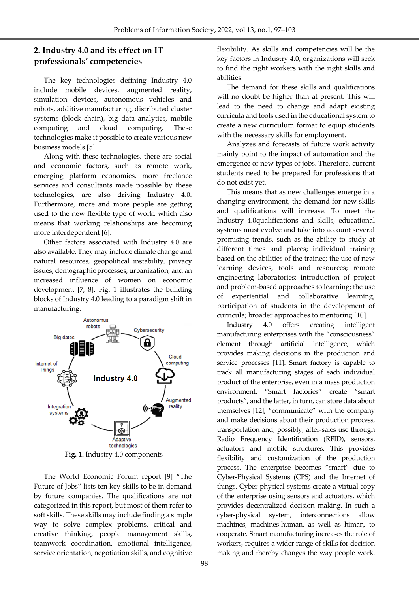# **2. Industry 4.0 and its effect on IT professionals' competencies**

The key technologies defining Industry 4.0 include mobile devices, augmented reality, simulation devices, autonomous vehicles and robots, additive manufacturing, distributed cluster systems (block chain), big data analytics, mobile computing and cloud computing. These technologies make it possible to create various new business models [5].

Along with these technologies, there are social and economic factors, such as remote work, emerging platform economies, more freelance services and consultants made possible by these technologies, are also driving Industry 4.0. Furthermore, more and more people are getting used to the new flexible type of work, which also means that working relationships are becoming more interdependent [6].

Other factors associated with Industry 4.0 are also available. They may include climate change and natural resources, geopolitical instability, privacy issues, demographic processes, urbanization, and an increased influence of women on economic development [7, 8]. Fig. 1 illustrates the building blocks of Industry 4.0 leading to a paradigm shift in manufacturing.



**Fig. 1.** Industry 4.0 components

The World Economic Forum report [9] "The Future of Jobs" lists ten key skills to be in demand by future companies. The qualifications are not categorized in this report, but most of them refer to soft skills. These skills may include finding a simple way to solve complex problems, critical and creative thinking, people management skills, teamwork coordination, emotional intelligence, service orientation, negotiation skills, and cognitive flexibility. As skills and competencies will be the key factors in Industry 4.0, organizations will seek to find the right workers with the right skills and abilities.

The demand for these skills and qualifications will no doubt be higher than at present. This will lead to the need to change and adapt existing curricula and tools used in the educational system to create a new curriculum format to equip students with the necessary skills for employment.

Analyzes and forecasts of future work activity mainly point to the impact of automation and the emergence of new types of jobs. Therefore, current students need to be prepared for professions that do not exist yet.

This means that as new challenges emerge in a changing environment, the demand for new skills and qualifications will increase. To meet the Industry 4.0qualifications and skills, educational systems must evolve and take into account several promising trends, such as the ability to study at different times and places; individual training based on the abilities of the trainee; the use of new learning devices, tools and resources; remote engineering laboratories; introduction of project and problem-based approaches to learning; the use of experiential and collaborative learning; participation of students in the development of curricula; broader approaches to mentoring [10].

Industry 4.0 offers creating intelligent manufacturing enterprises with the "consciousness" element through artificial intelligence, which provides making decisions in the production and service processes [11]. Smart factory is capable to track all manufacturing stages of each individual product of the enterprise, even in a mass production environment. "Smart factories" create "smart products", and the latter, in turn, can store data about themselves [12], "communicate" with the company and make decisions about their production process, transportation and, possibly, after-sales use through Radio Frequency Identification (RFID), sensors, actuators and mobile structures. This provides flexibility and customization of the production process. The enterprise becomes "smart" due to Cyber-Physical Systems (CPS) and the Internet of things. Cyber-physical systems create a virtual copy of the enterprise using sensors and actuators, which provides decentralized decision making. In such a cyber-physical system, interconnections allow machines, machines-human, as well as himan, to cooperate. Smart manufacturing increases the role of workers, requires a wider range of skills for decision making and thereby changes the way people work.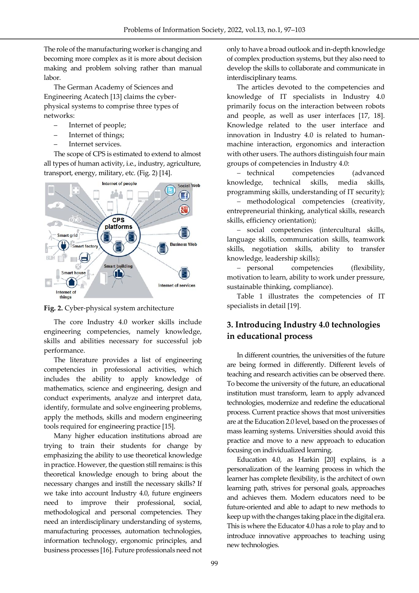The role of the manufacturing worker is changing and becoming more complex as it is more about decision making and problem solving rather than manual labor.

The German Academy of Sciences and Engineering Acatech [13] claims the cyberphysical systems to comprise three types of networks:

- Internet of people;
- Internet of things;
- Internet services.

The scope of CPS is estimated to extend to almost all types of human activity, i.e., industry, agriculture, transport, energy, military, etc. (Fig. 2) [14].



**Fig. 2.** Cyber-physical system architecture

The core Industry 4.0 worker skills include engineering competencies, namely knowledge, skills and abilities necessary for successful job performance.

The literature provides a list of engineering competencies in professional activities, which includes the ability to apply knowledge of mathematics, science and engineering, design and conduct experiments, analyze and interpret data, identify, formulate and solve engineering problems, apply the methods, skills and modern engineering tools required for engineering practice [15].

Many higher education institutions abroad are trying to train their students for change by emphasizing the ability to use theoretical knowledge in practice. However, the question still remains: is this theoretical knowledge enough to bring about the necessary changes and instill the necessary skills? If we take into account Industry 4.0, future engineers need to improve their professional, social, methodological and personal competencies. They need an interdisciplinary understanding of systems, manufacturing processes, automation technologies, information technology, ergonomic principles, and business processes [16]. Future professionals need not only to have a broad outlook and in-depth knowledge of complex production systems, but they also need to develop the skills to collaborate and communicate in interdisciplinary teams.

The articles devoted to the competencies and knowledge of IT specialists in Industry 4.0 primarily focus on the interaction between robots and people, as well as user interfaces [17, 18]. Knowledge related to the user interface and innovation in Industry 4.0 is related to humanmachine interaction, ergonomics and interaction with other users. The authors distinguish four main groups of competencies in Industry 4.0:

- technical competencies (advanced knowledge, technical skills, media skills, programming skills, understanding of IT security);

 methodological competencies (creativity, entrepreneurial thinking, analytical skills, research skills, efficiency orientation);

- social competencies (intercultural skills, language skills, communication skills, teamwork skills, negotiation skills, ability to transfer knowledge, leadership skills);

- personal competencies (flexibility, motivation to learn, ability to work under pressure, sustainable thinking, compliance).

Table 1 illustrates the competencies of IT specialists in detail [19].

## **3. Introducing Industry 4.0 technologies in educational process**

In different countries, the universities of the future are being formed in differently. Different levels of teaching and research activities can be observed there. To become the university of the future, an educational institution must transform, learn to apply advanced technologies, modernize and redefine the educational process. Current practice shows that most universities are at the Education 2.0 level, based on the processes of mass learning systems. Universities should avoid this practice and move to a new approach to education focusing on individualized learning.

Education 4.0, as Harkin [20] explains, is a personalization of the learning process in which the learner has complete flexibility, is the architect of own learning path, strives for personal goals, approaches and achieves them. Modern educators need to be future-oriented and able to adapt to new methods to keep up with the changes taking place in the digital era. This is where the Educator 4.0 has a role to play and to introduce innovative approaches to teaching using new technologies.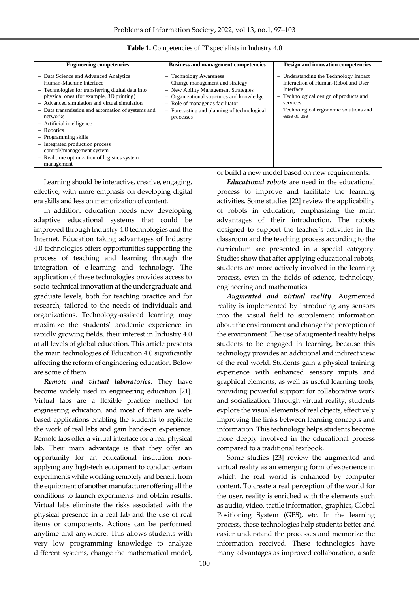| <b>Engineering competencies</b>                                                                                                                                                                                                                                                                                                                                                                                                                                                                                                                          | <b>Business and management competencies</b>                                                                                                                                                                                                    | Design and innovation competencies                                                                                                                                                                        |
|----------------------------------------------------------------------------------------------------------------------------------------------------------------------------------------------------------------------------------------------------------------------------------------------------------------------------------------------------------------------------------------------------------------------------------------------------------------------------------------------------------------------------------------------------------|------------------------------------------------------------------------------------------------------------------------------------------------------------------------------------------------------------------------------------------------|-----------------------------------------------------------------------------------------------------------------------------------------------------------------------------------------------------------|
| - Data Science and Advanced Analytics<br>Human-Machine Interface<br>Ξ.<br>- Technologies for transferring digital data into<br>physical ones (for example, 3D printing)<br>Advanced simulation and virtual simulation<br>-<br>Data transmission and automation of systems and<br>$\overline{\phantom{m}}$<br>networks<br>$-$ Artificial intelligence<br>$-$ Robotics<br>Programming skills<br>$\overline{\phantom{0}}$<br>- Integrated production process<br>control//management system<br>Real time optimization of logistics system<br>-<br>management | - Technology Awareness<br>- Change management and strategy<br>- New Ability Management Strategies<br>- Organizational structures and knowledge<br>- Role of manager as facilitator<br>- Forecasting and planning of technological<br>processes | - Understanding the Technology Impact<br>Interaction of Human-Robot and User<br>Interface<br>- Technological design of products and<br>services<br>- Technological ergonomic solutions and<br>ease of use |

**Table 1.** Competencies of IT specialists in Industry 4.0

Learning should be interactive, creative, engaging, effective, with more emphasis on developing digital era skills and less on memorization of content.

In addition, education needs new developing adaptive educational systems that could be improved through Industry 4.0 technologies and the Internet. Education taking advantages of Industry 4.0 technologies offers opportunities supporting the process of teaching and learning through the integration of e-learning and technology. The application of these technologies provides access to socio-technical innovation at the undergraduate and graduate levels, both for teaching practice and for research, tailored to the needs of individuals and organizations. Technology-assisted learning may maximize the students' academic experience in rapidly growing fields, their interest in Industry 4.0 at all levels of global education. This article presents the main technologies of Education 4.0 significantly affecting the reform of engineering education. Below are some of them.

*Remote and virtual laboratories*. They have become widely used in engineering education [21]. Virtual labs are a flexible practice method for engineering education, and most of them are webbased applications enabling the students to replicate the work of real labs and gain hands-on experience. Remote labs offer a virtual interface for a real physical lab. Their main advantage is that they offer an opportunity for an educational institution nonapplying any high-tech equipment to conduct certain experiments while working remotely and benefit from the equipment of another manufacturer offering all the conditions to launch experiments and obtain results. Virtual labs eliminate the risks associated with the physical presence in a real lab and the use of real items or components. Actions can be performed anytime and anywhere. This allows students with very low programming knowledge to analyze different systems, change the mathematical model,

or build a new model based on new requirements.

*Educational robots* are used in the educational process to improve and facilitate the learning activities. Some studies [22] review the applicability of robots in education, emphasizing the main advantages of their introduction. The robots designed to support the teacher's activities in the classroom and the teaching process according to the curriculum are presented in a special category. Studies show that after applying educational robots, students are more actively involved in the learning process, even in the fields of science, technology, engineering and mathematics.

*Augmented and virtual reality*. Augmented reality is implemented by introducing any sensors into the visual field to supplement information about the environment and change the perception of the environment. The use of augmented reality helps students to be engaged in learning, because this technology provides an additional and indirect view of the real world. Students gain a physical training experience with enhanced sensory inputs and graphical elements, as well as useful learning tools, providing powerful support for collaborative work and socialization. Through virtual reality, students explore the visual elements of real objects, effectively improving the links between learning concepts and information. This technology helps students become more deeply involved in the educational process compared to a traditional textbook.

Some studies [23] review the augmented and virtual reality as an emerging form of experience in which the real world is enhanced by computer content. To create a real perception of the world for the user, reality is enriched with the elements such as audio, video, tactile information, graphics, Global Positioning System (GPS), etc. In the learning process, these technologies help students better and easier understand the processes and memorize the information received. These technologies have many advantages as improved collaboration, a safe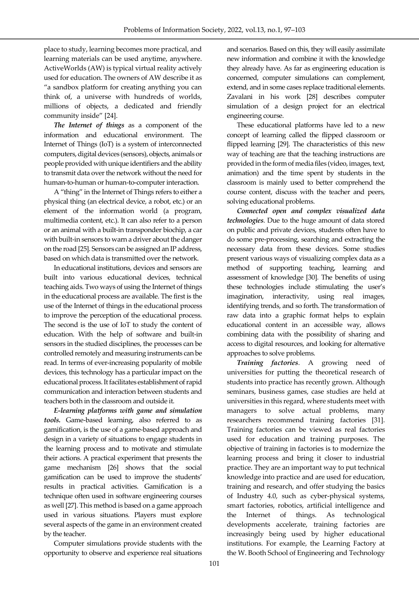place to study, learning becomes more practical, and learning materials can be used anytime, anywhere. ActiveWorlds (AW) is typical virtual reality actively used for education. The owners of AW describe it as "a sandbox platform for creating anything you can think of, a universe with hundreds of worlds, millions of objects, a dedicated and friendly community inside" [24].

*The Internet of things* as a component of the information and educational environment. The Internet of Things (IoT) is a system of interconnected computers, digital devices (sensors), objects, animals or people provided with unique identifiers and the ability to transmit data over the network without the need for human-to-human or human-to-computer interaction.

A "thing" in the Internet of Things refers to either a physical thing (an electrical device, a robot, etc.) or an element of the information world (a program, multimedia content, etc.). It can also refer to a person or an animal with a built-in transponder biochip, a car with built-in sensors to warn a driver about the danger on the road [25]. Sensors can be assigned an IP address, based on which data is transmitted over the network.

In educational institutions, devices and sensors are built into various educational devices, technical teaching aids. Two ways of using the Internet of things in the educational process are available. The first is the use of the Internet of things in the educational process to improve the perception of the educational process. The second is the use of IoT to study the content of education. With the help of software and built-in sensors in the studied disciplines, the processes can be controlled remotely and measuring instruments can be read. In terms of ever-increasing popularity of mobile devices, this technology has a particular impact on the educational process. It facilitates establishment of rapid communication and interaction between students and teachers both in the classroom and outside it.

*E-learning platforms with game and simulation tools.* Game-based learning, also referred to as gamification, is the use of a game-based approach and design in a variety of situations to engage students in the learning process and to motivate and stimulate their actions. A practical experiment that presents the game mechanism [26] shows that the social gamification can be used to improve the students' results in practical activities. Gamification is a technique often used in software engineering courses as well [27]. This method is based on a game approach used in various situations. Players must explore several aspects of the game in an environment created by the teacher.

Computer simulations provide students with the opportunity to observe and experience real situations and scenarios. Based on this, they will easily assimilate new information and combine it with the knowledge they already have. As far as engineering education is concerned, computer simulations can complement, extend, and in some cases replace traditional elements. Zavalani in his work [28] describes computer simulation of a design project for an electrical engineering course.

These educational platforms have led to a new concept of learning called the flipped classroom or flipped learning [29]. The characteristics of this new way of teaching are that the teaching instructions are provided in the form of media files (video, images, text, animation) and the time spent by students in the classroom is mainly used to better comprehend the course content, discuss with the teacher and peers, solving educational problems.

*Connected open and complex visualized data technologies*. Due to the huge amount of data stored on public and private devices, students often have to do some pre-processing, searching and extracting the necessary data from these devices. Some studies present various ways of visualizing complex data as a method of supporting teaching, learning and assessment of knowledge [30]. The benefits of using these technologies include stimulating the user's imagination, interactivity, using real images, identifying trends, and so forth. The transformation of raw data into a graphic format helps to explain educational content in an accessible way, allows combining data with the possibility of sharing and access to digital resources, and looking for alternative approaches to solve problems.

*Training factories*. A growing need of universities for putting the theoretical research of students into practice has recently grown. Although seminars, business games, case studies are held at universities in this regard, where students meet with managers to solve actual problems, many researchers recommend training factories [31]. Training factories can be viewed as real factories used for education and training purposes. The objective of training in factories is to modernize the learning process and bring it closer to industrial practice. They are an important way to put technical knowledge into practice and are used for education, training and research, and offer studying the basics of Industry 4.0, such as cyber-physical systems, smart factories, robotics, artificial intelligence and the Internet of things. As technological developments accelerate, training factories are increasingly being used by higher educational institutions. For example, the Learning Factory at the W. Booth School of Engineering and Technology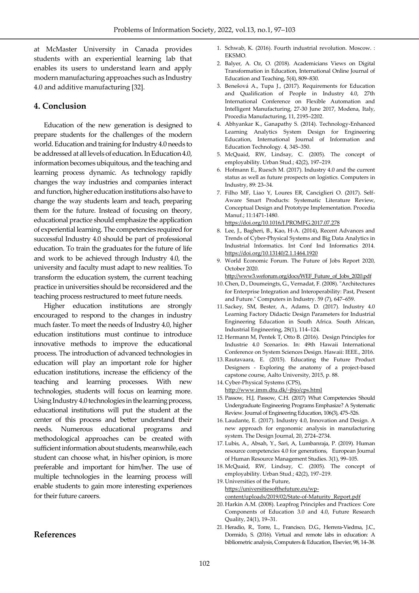at McMaster University in Canada provides students with an experiential learning lab that enables its users to understand learn and apply modern manufacturing approaches such as Industry 4.0 and additive manufacturing [32].

#### **4. Conclusion**

Education of the new generation is designed to prepare students for the challenges of the modern world. Education and training for Industry 4.0 needs to be addressed at all levels of education. In Education 4.0, information becomes ubiquitous, and the teaching and learning process dynamic. As technology rapidly changes the way industries and companies interact and function, higher education institutions also have to change the way students learn and teach, preparing them for the future. Instead of focusing on theory, educational practice should emphasize the application of experiential learning. The competencies required for successful Industry 4.0 should be part of professional education. To train the graduates for the future of life and work to be achieved through Industry 4.0, the university and faculty must adapt to new realities. To transform the education system, the current teaching practice in universities should be reconsidered and the teaching process restructured to meet future needs.

Higher education institutions are strongly encouraged to respond to the changes in industry much faster. To meet the needs of Industry 4.0, higher education institutions must continue to introduce innovative methods to improve the educational process. The introduction of advanced technologies in education will play an important role for higher education institutions, increase the efficiency of the teaching and learning processes. With new technologies, students will focus on learning more. Using Industry 4.0 technologies in the learning process, educational institutions will put the student at the center of this process and better understand their needs. Numerous educational programs and methodological approaches can be created with sufficient information about students, meanwhile, each student can choose what, in his/her opinion, is more preferable and important for him/her. The use of multiple technologies in the learning process will enable students to gain more interesting experiences for their future careers.

### **References**

- 1. Schwab, K. (2016). Fourth industrial revolution. Moscow. : EKSMO.
- 2. Balyer, A. Oz, O. (2018). Academicians Views on Digital Transformation in Education, International Online Journal of Education and Teaching, 5(4), 809–830.
- 3. Benešová A., Tupa J., (2017). Requirements for Education and Qualification of People in Industry 4.0, 27th International Conference on Flexible Automation and Intelligent Manufacturing, 27-30 June 2017, Modena, Italy, Procedia Manufacturing, 11, 2195–2202.
- 4. Abhyankar K., Ganapathy S. (2014). Technology-Enhanced Learning Analytics System Design for Engineering Education, International Journal of Information and Education Technology. 4, 345–350.
- 5. McQuaid, RW, Lindsay, C. (2005). The concept of employability. Urban Stud.; 42(2), 197–219.
- 6. Hofmann E., Ruesch M. (2017). Industry 4.0 and the current status as well as future prospects on logistics. Computers in Industry, 89: 23–34.
- 7. Filho MF, Liao Y, Loures ER, Canciglieri O. (2017). Self-Aware Smart Products: Systematic Literature Review, Conceptual Design and Prototype Implementation. Procedia Manuf.; 11:1471-1480. <https://doi.org/10.1016/J.PROMFG.2017.07.278>
- 8. Lee, J., Bagheri, B., Kao, H-A. (2014), Recent Advances and Trends of Cyber-Physical Systems and Big Data Analytics in Industrial Informatics. Int Conf Ind Informatics 2014. <https://doi.org/10.13140/2.1.1464.1920>
- 9. World Economic Forum. The Future of Jobs Report 2020, October 2020.

[http://www3.weforum.org/docs/WEF\\_Future\\_of\\_Jobs\\_2020.pdf](http://www3.weforum.org/docs/WEF_Future_of_Jobs_2020.pdf)

- 10. Chen, D., Doumeingts, G., Vernadat, F. (2008). "Architectures for Enterprise Integration and Interoperability: Past, Present and Future." Computers in Industry. 59 (7), 647–659.
- 11. Sackey, SM, Bester, A., Adams, D. (2017). Industry 4.0 Learning Factory Didactic Design Parameters for Industrial Engineering Education in South Africa. South African, Industrial Engineering, 28(1), 114–124.
- 12. Hermann M, Pentek T, Otto B. (2016). Design Principles for Industrie 4.0 Scenarios. In: 49th Hawaii International Conference on System Sciences Design. Hawaii: IEEE., 2016.
- 13. Rautavaara, E. (2015). Educating the Future Product Designers - Exploring the anatomy of a project-based capstone course, Aalto University, 2015, p. 88.
- 14. Cyber-Physical Systems (CPS), <http://www.imm.dtu.dk/~jbjo/cps.html>
- 15. Passow, H.J, Passow, C.H. (2017) What Competencies Should Undergraduate Engineering Programs Emphasize? A Systematic Review. Journal of Engineering Education, 106(3), 475–526.
- 16. Laudante, E. (2017). Industry 4.0, Innovation and Design. A new approach for ergonomic analysis in manufacturing system. The Design Journal, 20, 2724–2734.
- 17. Lubis, A., Absah, Y., Sari, A, Lumbanraja, P. (2019). Human resource competencies 4.0 for generations, European Journal of Human Resource Management Studies. 3(1), 99–105.
- 18. McQuaid, RW, Lindsay, C. (2005). The concept of employability. Urban Stud.; 42(2), 197–219.
- 19. Universities of the Future, [https://universitiesofthefuture.eu/wp](https://universitiesofthefuture.eu/wp-content/uploads/2019/02/State-of-Maturity_Report.pdf)[content/uploads/2019/02/State-of-Maturity\\_Report.pdf](https://universitiesofthefuture.eu/wp-content/uploads/2019/02/State-of-Maturity_Report.pdf)
- 20. Harkin A.M. (2008). Leapfrog Principles and Practices: Core Components of Education 3.0 and 4.0, Future Research Quality, 24(1), 19–31.
- 21. Heradio, R., Torre, L., Francisco, D.G., Herrera-Viedma, J.C., Dormido, S. (2016). Virtual and remote labs in education: A bibliometric analysis, Computers & Education, Elsevier, 98, 14–38.